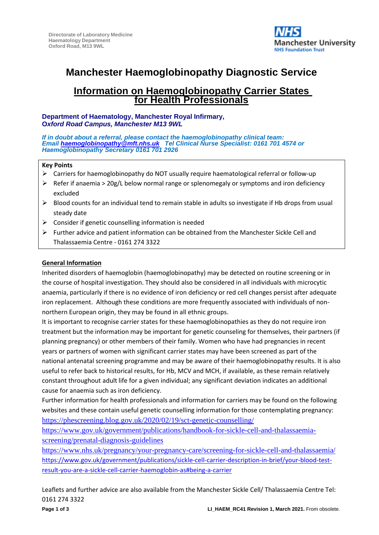

# **Manchester Haemoglobinopathy Diagnostic Service**

# **Information on Haemoglobinopathy Carrier States for Health Professionals**

#### **Department of Haematology, Manchester Royal Infirmary, O***xford Road Campus, Manchester M13 9WL*

*If in doubt about a referral, please contact the haemoglobinopathy clinical team: Email [haemoglobinopathy@mft.nhs.uk](mailto:haemoglobinopathy@mft.nhs.uk) Tel Clinical Nurse Specialist: 0161 701 4574 or Haemoglobinopathy Secretary 0161 701 2926* 

#### **Key Points**

- ➢ Carriers for haemoglobinopathy do NOT usually require haematological referral or follow-up
- $\triangleright$  Refer if anaemia > 20g/L below normal range or splenomegaly or symptoms and iron deficiency excluded
- $\triangleright$  Blood counts for an individual tend to remain stable in adults so investigate if Hb drops from usual steady date
- $\triangleright$  Consider if genetic counselling information is needed
- ➢ Further advice and patient information can be obtained from the Manchester Sickle Cell and Thalassaemia Centre - 0161 274 3322

#### **General Information**

Inherited disorders of haemoglobin (haemoglobinopathy) may be detected on routine screening or in the course of hospital investigation. They should also be considered in all individuals with microcytic anaemia, particularly if there is no evidence of iron deficiency or red cell changes persist after adequate iron replacement. Although these conditions are more frequently associated with individuals of nonnorthern European origin, they may be found in all ethnic groups.

It is important to recognise carrier states for these haemoglobinopathies as they do not require iron treatment but the information may be important for genetic counseling for themselves, their partners (if planning pregnancy) or other members of their family. Women who have had pregnancies in recent years or partners of women with significant carrier states may have been screened as part of the national antenatal screening programme and may be aware of their haemoglobinopathy results. It is also useful to refer back to historical results, for Hb, MCV and MCH, if available, as these remain relatively constant throughout adult life for a given individual; any significant deviation indicates an additional cause for anaemia such as iron deficiency.

Further information for health professionals and information for carriers may be found on the following websites and these contain useful genetic counselling information for those contemplating pregnancy: <https://phescreening.blog.gov.uk/2020/02/19/sct-genetic-counselling/>

[https://www.gov.uk/government/publications/handbook-for-sickle-cell-and-thalassaemia](https://www.gov.uk/government/publications/handbook-for-sickle-cell-and-thalassaemia-screening/prenatal-diagnosis-guidelines)[screening/prenatal-diagnosis-guidelines](https://www.gov.uk/government/publications/handbook-for-sickle-cell-and-thalassaemia-screening/prenatal-diagnosis-guidelines)

<https://www.nhs.uk/pregnancy/your-pregnancy-care/screening-for-sickle-cell-and-thalassaemia/> [https://www.gov.uk/government/publications/sickle-cell-carrier-description-in-brief/your-blood-test](https://www.gov.uk/government/publications/sickle-cell-carrier-description-in-brief/your-blood-test-result-you-are-a-sickle-cell-carrier-haemoglobin-as#being-a-carrier)[result-you-are-a-sickle-cell-carrier-haemoglobin-as#being-a-carrier](https://www.gov.uk/government/publications/sickle-cell-carrier-description-in-brief/your-blood-test-result-you-are-a-sickle-cell-carrier-haemoglobin-as#being-a-carrier)

Leaflets and further advice are also available from the Manchester Sickle Cell/ Thalassaemia Centre Tel: 0161 274 3322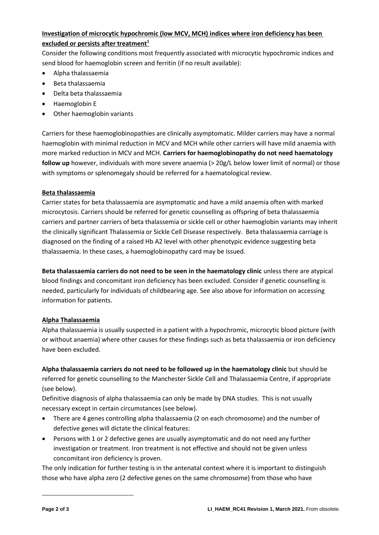# **Investigation of microcytic hypochromic (low MCV, MCH) indices where iron deficiency has been excluded or persists after treatment<sup>1</sup>**

Consider the following conditions most frequently associated with microcytic hypochromic indices and send blood for haemoglobin screen and ferritin (if no result available):

- Alpha thalassaemia
- Beta thalassaemia
- Delta beta thalassaemia
- Haemoglobin E
- Other haemoglobin variants

Carriers for these haemoglobinopathies are clinically asymptomatic. Milder carriers may have a normal haemoglobin with minimal reduction in MCV and MCH while other carriers will have mild anaemia with more marked reduction in MCV and MCH. **Carriers for haemoglobinopathy do not need haematology**  follow up however, individuals with more severe anaemia (> 20g/L below lower limit of normal) or those with symptoms or splenomegaly should be referred for a haematological review.

#### **Beta thalassaemia**

Carrier states for beta thalassaemia are asymptomatic and have a mild anaemia often with marked microcytosis. Carriers should be referred for genetic counselling as offspring of beta thalassaemia carriers and partner carriers of beta thalassemia or sickle cell or other haemoglobin variants may inherit the clinically significant Thalassemia or Sickle Cell Disease respectively. Beta thalassaemia carriage is diagnosed on the finding of a raised Hb A2 level with other phenotypic evidence suggesting beta thalassaemia. In these cases, a haemoglobinopathy card may be issued.

**Beta thalassaemia carriers do not need to be seen in the haematology clinic** unless there are atypical blood findings and concomitant iron deficiency has been excluded. Consider if genetic counselling is needed, particularly for individuals of childbearing age. See also above for information on accessing information for patients.

# **Alpha Thalassaemia**

Alpha thalassaemia is usually suspected in a patient with a hypochromic, microcytic blood picture (with or without anaemia) where other causes for these findings such as beta thalassaemia or iron deficiency have been excluded.

**Alpha thalassaemia carriers do not need to be followed up in the haematology clinic** but should be referred for genetic counselling to the Manchester Sickle Cell and Thalassaemia Centre, if appropriate (see below).

Definitive diagnosis of alpha thalassaemia can only be made by DNA studies. This is not usually necessary except in certain circumstances (see below).

- There are 4 genes controlling alpha thalassaemia (2 on each chromosome) and the number of defective genes will dictate the clinical features:
- Persons with 1 or 2 defective genes are usually asymptomatic and do not need any further investigation or treatment. Iron treatment is not effective and should not be given unless concomitant iron deficiency is proven.

The only indication for further testing is in the antenatal context where it is important to distinguish those who have alpha zero (2 defective genes on the same chromosome) from those who have